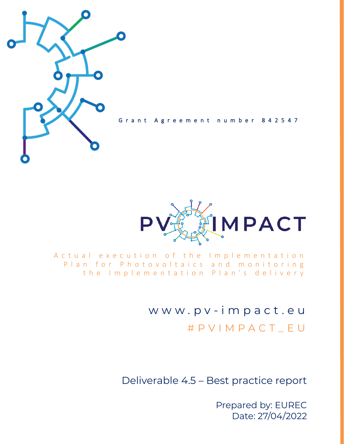

Grant Agreement number 842547



A c t u a l e x e c u t i o n o f t h e Implementation Plan for Photovoltaics and monitoring the Implementation Plan's delivery

> w w w . p v - i m p a c t . e u # P V I M P A C T \_ E U

Deliverable 4.5 – Best practice report

Prepared by: EUREC Date: 27/04/2022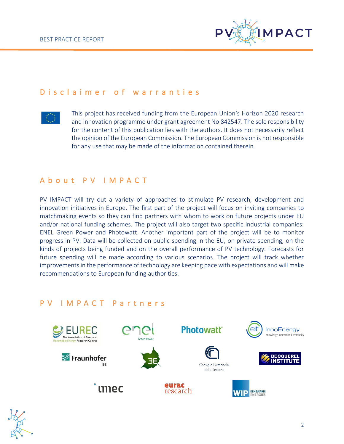

#### D is claimer of warranties



This project has received funding from the European Union's Horizon 2020 research and innovation programme under grant agreement No 842547. The sole responsibility for the content of this publication lies with the authors. It does not necessarily reflect the opinion of the European Commission. The European Commission is not responsible for any use that may be made of the information contained therein.

### A b o u t P V I M P A C T

PV IMPACT will try out a variety of approaches to stimulate PV research, development and innovation initiatives in Europe. The first part of the project will focus on inviting companies to matchmaking events so they can find partners with whom to work on future projects under EU and/or national funding schemes. The project will also target two specific industrial companies: ENEL Green Power and Photowatt. Another important part of the project will be to monitor progress in PV. Data will be collected on public spending in the EU, on private spending, on the kinds of projects being funded and on the overall performance of PV technology. Forecasts for future spending will be made according to various scenarios. The project will track whether improvements in the performance of technology are keeping pace with expectations and will make recommendations to European funding authorities.

### P V I M P A C T P a r t n e r s



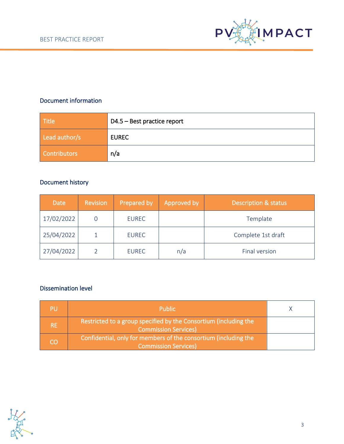

#### Document information

| <b>Title</b>        | D4.5 – Best practice report |
|---------------------|-----------------------------|
| Lead author/s       | <b>EUREC</b>                |
| <b>Contributors</b> | n/a                         |

## Document history

| <b>Date</b> | <b>Revision</b> | Prepared by  | Approved by | <b>Description &amp; status</b> |
|-------------|-----------------|--------------|-------------|---------------------------------|
| 17/02/2022  |                 | <b>EUREC</b> |             | Template                        |
| 25/04/2022  |                 | <b>EUREC</b> |             | Complete 1st draft              |
| 27/04/2022  |                 | <b>EUREC</b> | n/a         | Final version                   |

#### Dissemination level

| PU        | <b>Public</b>                                                                                   |  |
|-----------|-------------------------------------------------------------------------------------------------|--|
| <b>RE</b> | Restricted to a group specified by the Consortium (including the<br><b>Commission Services)</b> |  |
| CO        | Confidential, only for members of the consortium (including the<br><b>Commission Services)</b>  |  |

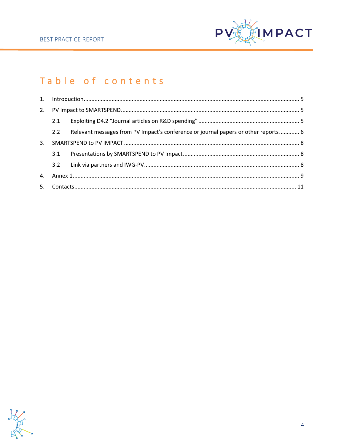

# Table of contents

|    | 2.1 |                                                                                    |  |
|----|-----|------------------------------------------------------------------------------------|--|
|    | 2.2 | Relevant messages from PV Impact's conference or journal papers or other reports 6 |  |
| 3. |     |                                                                                    |  |
|    | 3.1 |                                                                                    |  |
|    | 3.2 |                                                                                    |  |
|    |     |                                                                                    |  |
|    |     |                                                                                    |  |
|    |     |                                                                                    |  |

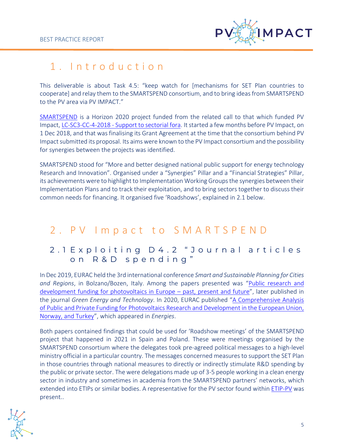

# <span id="page-4-0"></span>1 . I n t r o d u c t i o n

This deliverable is about Task 4.5: "keep watch for [mechanisms for SET Plan countries to cooperate] and relay them to the SMARTSPEND consortium, and to bring ideas from SMARTSPEND to the PV area via PV IMPACT."

[SMARTSPEND](http://smartspend.eu/) is a Horizon 2020 project funded from the related call to that which funded PV Impact, LC-SC3-CC-4-2018 - [Support to sectorial fora.](https://cordis.europa.eu/project/id/826044) It started a few months before PV Impact, on 1 Dec 2018, and that was finalising its Grant Agreement at the time that the consortium behind PV Impact submitted its proposal. Its aims were known to the PV Impact consortium and the possibility for synergies between the projects was identified.

SMARTSPEND stood for "More and better designed national public support for energy technology Research and Innovation". Organised under a "Synergies" Pillar and a "Financial Strategies" Pillar, its achievements were to highlight to Implementation Working Groups the synergies between their Implementation Plans and to track their exploitation, and to bring sectors together to discuss their common needs for financing. It organised five 'Roadshows', explained in 2.1 below.

## <span id="page-4-1"></span>2. PV Impact to SMARTSPEND

## <span id="page-4-2"></span>2.1 Exploiting D4.2 "Journal articles on R&D spending"

In Dec 2019, EURAC held the 3rd international conference *Smart and Sustainable Planning for Cities and Regions*, in Bolzano/Bozen, Italy. Among the papers presented was "[Public research and](https://link.springer.com/chapter/10.1007/978-3-030-57764-3_8)  [development funding for photovoltaics in Europe](https://link.springer.com/chapter/10.1007/978-3-030-57764-3_8) – past, present and future", later published in the journal *Green Energy and Technology*. In 2020, EURAC published "[A Comprehensive Analysis](https://www.mdpi.com/1996-1073/13/11/2743)  of Public and Private Funding for Photovoltaics Research and Development in the European Union, [Norway, and Turkey](https://www.mdpi.com/1996-1073/13/11/2743)", which appeared in *Energies*.

Both papers contained findings that could be used for 'Roadshow meetings' of the SMARTSPEND project that happened in 2021 in Spain and Poland. These were meetings organised by the SMARTSPEND consortium where the delegates took pre-agreed political messages to a high-level ministry official in a particular country. The messages concerned measures to support the SET Plan in those countries through national measures to directly or indirectly stimulate R&D spending by the public or private sector. The were delegations made up of 3-5 people working in a clean energy sector in industry and sometimes in academia from the SMARTSPEND partners' networks, which extended into ETIPs or similar bodies. A representative for the PV sector found withi[n ETIP-PV](https://etip-pv.eu/) was present..

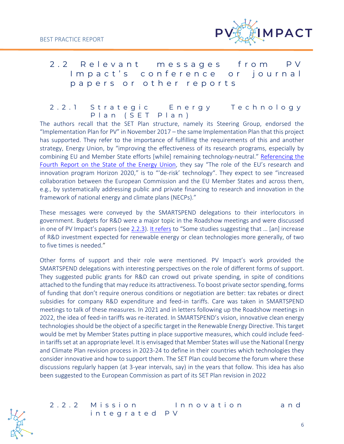

## <span id="page-5-0"></span>2.2 Relevant messages from PV Impact's conference or journal p a p e r s o r o t h e r r e p o r t s

2.2.1 Strategic Energy Technology P l a n ( S E T P l a n )

The authors recall that the SET Plan structure, namely its Steering Group, endorsed the "Implementation Plan for PV" in November 2017 – the same Implementation Plan that this project has supported. They refer to the importance of fulfilling the requirements of this and another strategy, Energy Union, by "improving the effectiveness of its research programs, especially by combining EU and Member State efforts [while] remaining technology-neutral." [Referencing the](https://eur-lex.europa.eu/legal-content/EN/TXT/HTML/?uri=CELEX:52019DC0175&from=EN#:~:text=attract%20new%20private%20investments%20by%20de)  [Fourth Report on the State of the Energy Union,](https://eur-lex.europa.eu/legal-content/EN/TXT/HTML/?uri=CELEX:52019DC0175&from=EN#:~:text=attract%20new%20private%20investments%20by%20de) they say "The role of the EU's research and innovation program Horizon 2020," is to "'de-risk' technology". They expect to see "increased collaboration between the European Commission and the EU Member States and across them, e.g., by systematically addressing public and private financing to research and innovation in the framework of national energy and climate plans (NECPs)."

These messages were conveyed by the SMARTSPEND delegations to their interlocutors in government. Budgets for R&D were a major topic in the Roadshow meetings and were discussed in one of PV Impact's papers (see [2.2.3\)](#page-6-0). [It refers](https://www.mdpi.com/1996-1073/13/11/2743/htm#:~:text=two%20to%20five) to "Some studies suggesting that … [an] increase of R&D investment expected for renewable energy or clean technologies more generally, of two to five times is needed."

Other forms of support and their role were mentioned. PV Impact's work provided the SMARTSPEND delegations with interesting perspectives on the role of different forms of support. They suggested public grants for R&D can crowd out private spending, in spite of conditions attached to the funding that may reduce its attractiveness. To boost private sector spending, forms of funding that don't require onerous conditions or negotiation are better: tax rebates or direct subsidies for company R&D expenditure and feed-in tariffs. Care was taken in SMARTSPEND meetings to talk of these measures. In 2021 and in letters following up the Roadshow meetings in 2022, the idea of feed-in tariffs was re-iterated. In SMARTSPEND's vision, innovative clean energy technologies should be the object of a specific target in the Renewable Energy Directive. This target would be met by Member States putting in place supportive measures, which could include feedin tariffs set at an appropriate level. It is envisaged that Member States will use the National Energy and Climate Plan revision process in 2023-24 to define in their countries which technologies they consider innovative and how to support them. The SET Plan could become the forum where these discussions regularly happen (at 3-year intervals, say) in the years that follow. This idea has also been suggested to the European Commission as part of its SET Plan revision in 2022

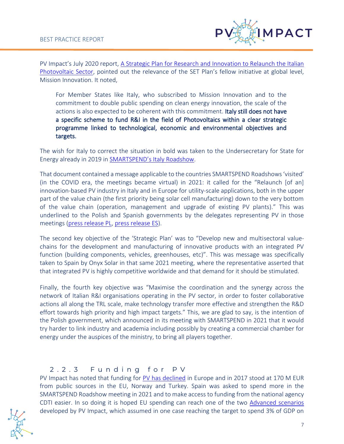

PV Impact's July 2020 report, [A Strategic Plan for Research and Innovation to Relaunch the Italian](https://pvimpact.eu/news-resources/reports/download/a-strategic-plan-for-research-and-innovation-to-re)  [Photovoltaic Sector](https://pvimpact.eu/news-resources/reports/download/a-strategic-plan-for-research-and-innovation-to-re), pointed out the relevance of the SET Plan's fellow initiative at global level, Mission Innovation. It noted,

For Member States like Italy, who subscribed to Mission Innovation and to the commitment to double public spending on clean energy innovation, the scale of the actions is also expected to be coherent with this commitment. Italy still does not have a specific scheme to fund R&I in the field of Photovoltaics within a clear strategic programme linked to technological, economic and environmental objectives and targets.

The wish for Italy to correct the situation in bold was taken to the Undersecretary for State for Energy already in 2019 in [SMARTSPEND's I](http://smartspend.eu/news/pr-smartspend-launch-of-key-project-to-increase-the-efficiency-of-european-funding-for-clean-energy-2-2-2-2/)taly Roadshow.

That document contained a message applicable to the countries SMARTSPEND Roadshows'visited' (in the COVID era, the meetings became virtual) in 2021: it called for the "Relaunch [of an] innovation-based PV industry in Italy and in Europe for utility-scale applications, both in the upper part of the value chain (the first priority being solar cell manufacturing) down to the very bottom of the value chain (operation, management and upgrade of existing PV plants)." This was underlined to the Polish and Spanish governments by the delegates representing PV in those meetings (press [release PL,](http://smartspend.eu/news/pr-en-industry-and-researchers-discuss-clean-innovation-with-ireneusz-zyska-the-polish-secretary-of-state-for-renewable-sources/) [press release ES\)](http://smartspend.eu/news/pr-six-renewable-energy-industry-sectors-discuss-innovation-with-the-director-general-of-energy-policy/).

The second key objective of the 'Strategic Plan' was to "Develop new and multisectoral valuechains for the development and manufacturing of innovative products with an integrated PV function (building components, vehicles, greenhouses, etc)". This was message was specifically taken to Spain by Onyx Solar in that same 2021 meeting, where the representative asserted that that integrated PV is highly competitive worldwide and that demand for it should be stimulated.

Finally, the fourth key objective was "Maximise the coordination and the synergy across the network of Italian R&I organisations operating in the PV sector, in order to foster collaborative actions all along the TRL scale, make technology transfer more effective and strengthen the R&D effort towards high priority and high impact targets." This, we are glad to say, is the intention of the Polish government, which announced in its meeting with SMARTSPEND in 2021 that it would try harder to link industry and academia including possibly by creating a commercial chamber for energy under the auspices of the ministry, to bring all players together.

#### <span id="page-6-0"></span>2 . 2 . 3 F u n d i n g f o r P V

PV Impact has noted that funding for [PV has declined](https://www.mdpi.com/1996-1073/13/11/2743/htm#:~:text=This%20is%20still%20down%20from%20the%20historical%20high) in Europe and in 2017 stood at 170 M EUR from public sources in the EU, Norway and Turkey. Spain was asked to spend more in the SMARTSPEND Roadshow meeting in 2021 and to make access to funding from the national agency CDTI easier. In so doing it is hoped EU spending can reach one of the two [Advanced scenarios](https://www.mdpi.com/1996-1073/13/11/2743/htm#:~:text=Advanced%20Scenarios) developed by PV Impact, which assumed in one case reaching the target to spend 3% of GDP on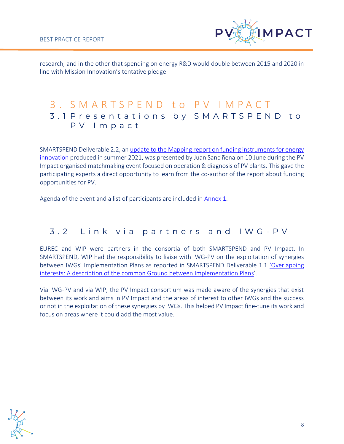

research, and in the other that spending on energy R&D would double between 2015 and 2020 in line with Mission Innovation's tentative pledge.

## <span id="page-7-1"></span><span id="page-7-0"></span>3 . S M A R T S P E N D t o P V I M P A C T 3 . 1 P r e s e n t a t i o n s b y S M A R T S P E N D t o P V I m p a c t

SMARTSPEND Deliverable 2.2, a[n update to the Mapping report on funding instruments for energy](http://smartspend.eu/wp-content/uploads/2021/08/D2.2_SMARTSPEND-Update-on-funding-instruments_v1.1.pdf)  [innovation](http://smartspend.eu/wp-content/uploads/2021/08/D2.2_SMARTSPEND-Update-on-funding-instruments_v1.1.pdf) produced in summer 2021, was presented by Juan Sanciñena on 10 June during the PV Impact organised matchmaking event focused on operation & diagnosis of PV plants. This gave the participating experts a direct opportunity to learn from the co-author of the report about funding opportunities for PV.

Agenda of the event and a list of participants are included in [Annex 1.](#page-8-0)

## <span id="page-7-2"></span>3.2 Link via partners and IWG-PV

EUREC and WIP were partners in the consortia of both SMARTSPEND and PV Impact. In SMARTSPEND, WIP had the responsibility to liaise with IWG-PV on the exploitation of synergies between IWGs' Implementation Plans as reported in SMARTSPEND Deliverable 1.1 ['Overlapping](http://smartspend.eu/wp-content/uploads/2019/05/D1.1-Overlapping-interests-A-description-of-the-common-Ground-between-Implementation-Plans.pdf)  [interests: A description of the common Ground between Implementation Plans](http://smartspend.eu/wp-content/uploads/2019/05/D1.1-Overlapping-interests-A-description-of-the-common-Ground-between-Implementation-Plans.pdf)'.

Via IWG-PV and via WIP, the PV Impact consortium was made aware of the synergies that exist between its work and aims in PV Impact and the areas of interest to other IWGs and the success or not in the exploitation of these synergies by IWGs. This helped PV Impact fine-tune its work and focus on areas where it could add the most value.

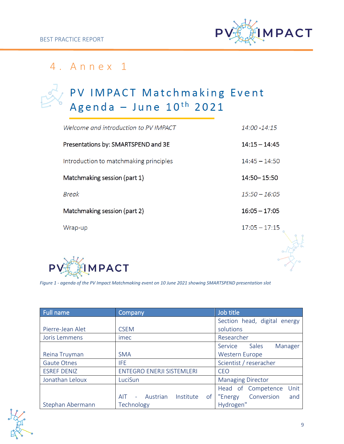

# <span id="page-8-0"></span>4 . A n n e x 1

# PV IMPACT Matchmaking Event<br>Agenda - June 10<sup>th</sup> 2021

| Welcome and introduction to PV IMPACT  | 14:00 - 14:15   |
|----------------------------------------|-----------------|
| Presentations by: SMARTSPEND and 3E    | $14:15 - 14:45$ |
| Introduction to matchmaking principles | $14:45 - 14:50$ |
| Matchmaking session (part 1)           | 14:50 - 15:50   |
| <b>Break</b>                           | $15:50 - 16:05$ |
| Matchmaking session (part 2)           | $16:05 - 17:05$ |
| Wrap-up                                | $17:05 - 17:15$ |
|                                        |                 |



*Figure 1 - agenda of the PV Impact Matchmaking event on 10 June 2021 showing SMARTSPEND presentation slot*

| Full name          | Company                                     | Job title                    |
|--------------------|---------------------------------------------|------------------------------|
|                    |                                             | Section head, digital energy |
| Pierre-Jean Alet   | <b>CSEM</b>                                 | solutions                    |
| Joris Lemmens      | imec                                        | Researcher                   |
|                    |                                             | Sales<br>Manager<br>Service  |
| Reina Truyman      | <b>SMA</b>                                  | <b>Western Europe</b>        |
| <b>Gaute Otnes</b> | IFE.                                        | Scientist / reseracher       |
| <b>ESREF DENIZ</b> | <b>ENTEGRO ENERJI SISTEMLERI</b>            | <b>CEO</b>                   |
| Jonathan Leloux    | LuciSun                                     | <b>Managing Director</b>     |
|                    |                                             | Unit<br>Head of Competence   |
|                    | - Austrian<br>Institute<br><b>AIT</b><br>of | Conversion<br>"Energy<br>and |
| Stephan Abermann   | Technology                                  | Hydrogen"                    |

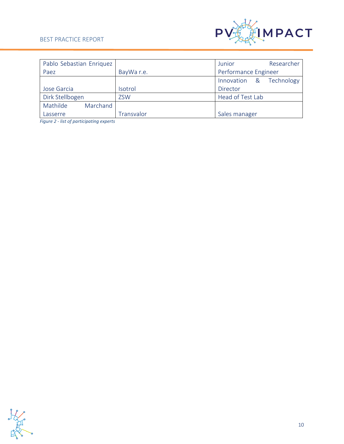#### BEST PRACTICE REPORT



| Pablo Sebastian Enriquez |            | Researcher<br>Junior       |
|--------------------------|------------|----------------------------|
| Paez                     | BayWa r.e. | Performance Engineer       |
|                          |            | Technology<br>Innovation & |
| Jose Garcia              | Isotrol    | Director                   |
| Dirk Stellbogen          | <b>ZSW</b> | Head of Test Lab           |
| Mathilde<br>Marchand     |            |                            |
| Lasserre                 | Transvalor | Sales manager              |

*Figure 2 - list of participating experts*